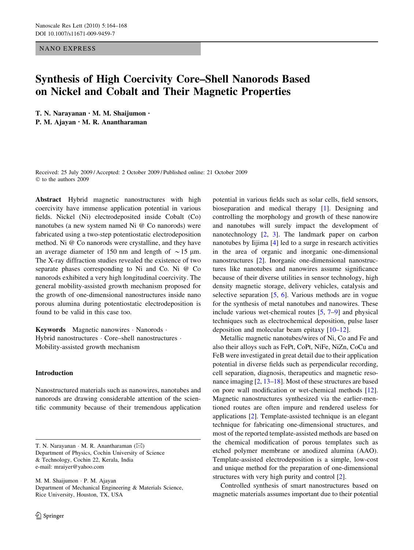### NANO EXPRESS

# Synthesis of High Coercivity Core–Shell Nanorods Based on Nickel and Cobalt and Their Magnetic Properties

T. N. Narayanan • M. M. Shaijumon • P. M. Ajayan • M. R. Anantharaman

Received: 25 July 2009 / Accepted: 2 October 2009 / Published online: 21 October 2009  $©$  to the authors 2009

Abstract Hybrid magnetic nanostructures with high coercivity have immense application potential in various fields. Nickel (Ni) electrodeposited inside Cobalt (Co) nanotubes (a new system named Ni @ Co nanorods) were fabricated using a two-step potentiostatic electrodeposition method. Ni @ Co nanorods were crystalline, and they have an average diameter of 150 nm and length of  $\sim$  15 µm. The X-ray diffraction studies revealed the existence of two separate phases corresponding to Ni and Co. Ni @ Co nanorods exhibited a very high longitudinal coercivity. The general mobility-assisted growth mechanism proposed for the growth of one-dimensional nanostructures inside nano porous alumina during potentiostatic electrodeposition is found to be valid in this case too.

Keywords Magnetic nanowires · Nanorods · Hybrid nanostructures · Core–shell nanostructures · Mobility-assisted growth mechanism

## Introduction

Nanostructured materials such as nanowires, nanotubes and nanorods are drawing considerable attention of the scientific community because of their tremendous application

T. N. Narayanan  $\cdot$  M. R. Anantharaman ( $\boxtimes$ ) Department of Physics, Cochin University of Science & Technology, Cochin 22, Kerala, India e-mail: mraiyer@yahoo.com

M. M. Shaijumon · P. M. Ajayan Department of Mechanical Engineering & Materials Science, Rice University, Houston, TX, USA

potential in various fields such as solar cells, field sensors, bioseparation and medical therapy [\[1](#page-4-0)]. Designing and controlling the morphology and growth of these nanowire and nanotubes will surely impact the development of nanotechnology [\[2](#page-4-0), [3](#page-4-0)]. The landmark paper on carbon nanotubes by Iijima [\[4](#page-4-0)] led to a surge in research activities in the area of organic and inorganic one-dimensional nanostructures [\[2](#page-4-0)]. Inorganic one-dimensional nanostructures like nanotubes and nanowires assume significance because of their diverse utilities in sensor technology, high density magnetic storage, delivery vehicles, catalysis and selective separation [\[5](#page-4-0), [6\]](#page-4-0). Various methods are in vogue for the synthesis of metal nanotubes and nanowires. These include various wet-chemical routes [\[5](#page-4-0), [7–9](#page-4-0)] and physical techniques such as electrochemical deposition, pulse laser deposition and molecular beam epitaxy [[10–12\]](#page-4-0).

Metallic magnetic nanotubes/wires of Ni, Co and Fe and also their alloys such as FePt, CoPt, NiFe, NiZn, CoCu and FeB were investigated in great detail due to their application potential in diverse fields such as perpendicular recording, cell separation, diagnosis, therapeutics and magnetic resonance imaging [\[2](#page-4-0), [13–18\]](#page-4-0). Most of these structures are based on pore wall modification or wet-chemical methods [\[12](#page-4-0)]. Magnetic nanostructures synthesized via the earlier-mentioned routes are often impure and rendered useless for applications [\[2](#page-4-0)]. Template-assisted technique is an elegant technique for fabricating one-dimensional structures, and most of the reported template-assisted methods are based on the chemical modification of porous templates such as etched polymer membrane or anodized alumina (AAO). Template-assisted electrodeposition is a simple, low-cost and unique method for the preparation of one-dimensional structures with very high purity and control [[2\]](#page-4-0).

Controlled synthesis of smart nanostructures based on magnetic materials assumes important due to their potential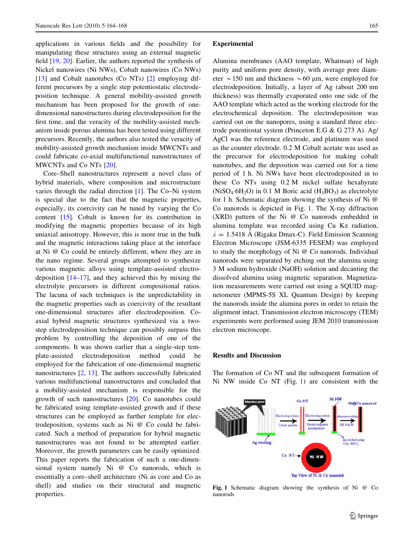applications in various fields and the possibility for manipulating these structures using an external magnetic field [\[19](#page-4-0), [20\]](#page-4-0). Earlier, the authors reported the synthesis of Nickel nanowires (Ni NWs), Cobalt nanowires (Co NWs) [\[13](#page-4-0)] and Cobalt nanotubes (Co NTs) [[2\]](#page-4-0) employing different precursors by a single step potentiostatic electrodeposition technique. A general mobility-assisted growth mechanism has been proposed for the growth of onedimensional nanostructures during electrodeposition for the first time, and the veracity of the mobility-assisted mechanism inside porous alumina has been tested using different precursors. Recently, the authors also tested the veracity of mobility-assisted growth mechanism inside MWCNTs and could fabricate co-axial multifunctional nanostructures of MWCNTs and Co NTs [[20\]](#page-4-0).

Core–Shell nanostructures represent a novel class of hybrid materials, where composition and microstructure varies through the radial direction [[1\]](#page-4-0). The Co–Ni system is special due to the fact that the magnetic properties, especially, its coercivity can be tuned by varying the Co content [\[15](#page-4-0)]. Cobalt is known for its contribution in modifying the magnetic properties because of its high uniaxial anisotropy. However, this is more true in the bulk and the magnetic interactions taking place at the interface at Ni @ Co could be entirely different, where they are in the nano regime. Several groups attempted to synthesize various magnetic alloys using template-assisted electrodeposition  $[14–17]$  $[14–17]$ , and they achieved this by mixing the electrolyte precursors in different compositional ratios. The lacuna of such techniques is the unpredictability in the magnetic properties such as coercivity of the resultant one-dimensional structures after electrodeposition. Coaxial hybrid magnetic structures synthesized via a twostep electrodeposition technique can possibly surpass this problem by controlling the deposition of one of the components. It was shown earlier that a single-step template-assisted electrodeposition method could be employed for the fabrication of one-dimensional magnetic nanostructures [[2,](#page-4-0) [13\]](#page-4-0). The authors successfully fabricated various multifunctional nanostructures and concluded that a mobility-assisted mechanism is responsible for the growth of such nanostructures [\[20](#page-4-0)]. Co nanotubes could be fabricated using template-assisted growth and if these structures can be employed as further template for electrodeposition, systems such as Ni @ Co could be fabricated. Such a method of preparation for hybrid magnetic nanostructures was not found to be attempted earlier. Moreover, the growth parameters can be easily optimized. This paper reports the fabrication of such a one-dimensional system namely Ni @ Co nanorods, which is essentially a core–shell architecture (Ni as core and Co as shell) and studies on their structural and magnetic properties.

#### Experimental

Alumina membranes (AAO template, Whatman) of high purity and uniform pore density, with average pore diameter  $\sim$  150 nm and thickness  $\sim$  60 µm, were employed for electrodeposition. Initially, a layer of Ag (about 200 nm thickness) was thermally evaporated onto one side of the AAO template which acted as the working electrode for the electrochemical deposition. The electrodeposition was carried out on the nanopores, using a standard three electrode potentiostat system (Princeton E.G & G 273 A). Ag/ AgCl was the reference electrode, and platinum was used as the counter electrode. 0.2 M Cobalt acetate was used as the precursor for electrodeposition for making cobalt nanotubes, and the deposition was carried out for a time period of 1 h. Ni NWs have been electrodeposited in to these Co NTs using 0.2 M nickel sulfate hexahyrate  $(NiSO<sub>4</sub>·6H<sub>2</sub>O)$  in 0.1 M Boric acid  $(H<sub>3</sub>BO<sub>3</sub>)$  as electrolyte for 1 h. Schematic diagram showing the synthesis of Ni @ Co nanorods is depicted in Fig. 1. The X-ray diffraction (XRD) pattern of the Ni @ Co nanorods embedded in alumina template was recorded using  $Cu$  K $\alpha$  radiation,  $\lambda = 1.5418$  Å (Rigaku Dmax-C). Field Emission Scanning Electron Microscope (JSM-6335 FESEM) was employed to study the morphology of Ni @ Co nanorods. Individual nanorods were separated by etching out the alumina using 3 M sodium hydroxide (NaOH) solution and decanting the dissolved alumina using magnetic separation. Magnetization measurements were carried out using a SQUID magnetometer (MPMS-5S XL Quantum Design) by keeping the nanorods inside the alumina pores in order to retain the alignment intact. Transmission electron microscopy (TEM) experiments were performed using JEM 2010 transmission electron microscope.

## Results and Discussion

The formation of Co NT and the subsequent formation of Ni NW inside Co NT (Fig. 1) are consistent with the



Fig. 1 Schematic diagram showing the synthesis of Ni @ Co nanorods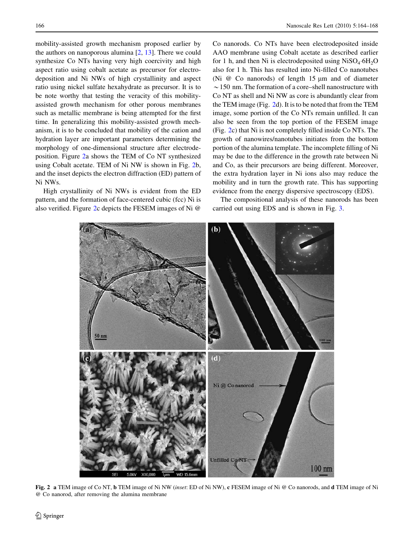mobility-assisted growth mechanism proposed earlier by the authors on nanoporous alumina  $[2, 13]$  $[2, 13]$  $[2, 13]$  $[2, 13]$ . There we could synthesize Co NTs having very high coercivity and high aspect ratio using cobalt acetate as precursor for electrodeposition and Ni NWs of high crystallinity and aspect ratio using nickel sulfate hexahydrate as precursor. It is to be note worthy that testing the veracity of this mobilityassisted growth mechanism for other porous membranes such as metallic membrane is being attempted for the first time. In generalizing this mobility-assisted growth mechanism, it is to be concluded that mobility of the cation and hydration layer are important parameters determining the morphology of one-dimensional structure after electrodeposition. Figure 2a shows the TEM of Co NT synthesized using Cobalt acetate. TEM of Ni NW is shown in Fig. 2b, and the inset depicts the electron diffraction (ED) pattern of Ni NWs.

High crystallinity of Ni NWs is evident from the ED pattern, and the formation of face-centered cubic (fcc) Ni is also verified. Figure 2c depicts the FESEM images of Ni @

Co nanorods. Co NTs have been electrodeposited inside AAO membrane using Cobalt acetate as described earlier for 1 h, and then Ni is electrodeposited using  $NiSO_4·6H_2O$ also for 1 h. This has resulted into Ni-filled Co nanotubes (Ni  $\omega$  Co nanorods) of length 15  $\mu$ m and of diameter  $\sim$  150 nm. The formation of a core–shell nanostructure with Co NT as shell and Ni NW as core is abundantly clear from the TEM image (Fig. 2d). It is to be noted that from the TEM image, some portion of the Co NTs remain unfilled. It can also be seen from the top portion of the FESEM image (Fig. 2c) that Ni is not completely filled inside Co NTs. The growth of nanowires/nanotubes initiates from the bottom portion of the alumina template. The incomplete filling of Ni may be due to the difference in the growth rate between Ni and Co, as their precursors are being different. Moreover, the extra hydration layer in Ni ions also may reduce the mobility and in turn the growth rate. This has supporting evidence from the energy dispersive spectroscopy (EDS).

The compositional analysis of these nanorods has been carried out using EDS and is shown in Fig. [3.](#page-3-0)



Fig. 2 a TEM image of Co NT, b TEM image of Ni NW (inset: ED of Ni NW), c FESEM image of Ni @ Co nanorods, and d TEM image of Ni @ Co nanorod, after removing the alumina membrane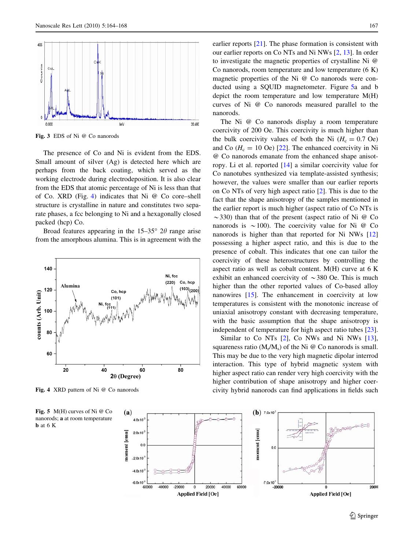<span id="page-3-0"></span>

Fig. 3 EDS of Ni @ Co nanorods

The presence of Co and Ni is evident from the EDS. Small amount of silver (Ag) is detected here which are perhaps from the back coating, which served as the working electrode during electrodeposition. It is also clear from the EDS that atomic percentage of Ni is less than that of Co. XRD (Fig. 4) indicates that Ni @ Co core–shell structure is crystalline in nature and constitutes two separate phases, a fcc belonging to Ni and a hexagonally closed packed (hcp) Co.

Broad features appearing in the  $15-35^{\circ}$  2 $\theta$  range arise from the amorphous alumina. This is in agreement with the



Fig. 4 XRD pattern of Ni @ Co nanorods

Fig. 5 M(H) curves of Ni @ Co nanorods; a at room temperature b at 6 K

earlier reports [[21\]](#page-4-0). The phase formation is consistent with our earlier reports on Co NTs and Ni NWs [[2,](#page-4-0) [13\]](#page-4-0). In order to investigate the magnetic properties of crystalline Ni @ Co nanorods, room temperature and low temperature (6 K) magnetic properties of the Ni @ Co nanorods were conducted using a SQUID magnetometer. Figure 5a and b depict the room temperature and low temperature M(H) curves of Ni @ Co nanorods measured parallel to the nanorods.

The Ni @ Co nanorods display a room temperature coercivity of 200 Oe. This coercivity is much higher than the bulk coercivity values of both the Ni  $(H_c = 0.7 \text{ Oe})$ and Co  $(H_c = 10 \text{ Oe})$  [\[22](#page-4-0)]. The enhanced coercivity in Ni @ Co nanorods emanate from the enhanced shape anisotropy. Li et al. reported [\[14](#page-4-0)] a similar coercivity value for Co nanotubes synthesized via template-assisted synthesis; however, the values were smaller than our earlier reports on Co NTs of very high aspect ratio [[2\]](#page-4-0). This is due to the fact that the shape anisotropy of the samples mentioned in the earlier report is much higher (aspect ratio of Co NTs is  $\sim$ 330) than that of the present (aspect ratio of Ni @ Co nanorods is  $\sim$  100). The coercivity value for Ni @ Co nanorods is higher than that reported for Ni NWs [[12\]](#page-4-0) possessing a higher aspect ratio, and this is due to the presence of cobalt. This indicates that one can tailor the coercivity of these heterostructures by controlling the aspect ratio as well as cobalt content. M(H) curve at 6 K exhibit an enhanced coercivity of  $\sim$ 380 Oe. This is much higher than the other reported values of Co-based alloy nanowires [\[15](#page-4-0)]. The enhancement in coercivity at low temperatures is consistent with the monotonic increase of uniaxial anisotropy constant with decreasing temperature, with the basic assumption that the shape anisotropy is independent of temperature for high aspect ratio tubes [\[23](#page-4-0)].

Similar to Co NTs [\[2](#page-4-0)], Co NWs and Ni NWs [\[13](#page-4-0)], squareness ratio  $(M_r/M_s)$  of the Ni  $\omega$  Co nanorods is small. This may be due to the very high magnetic dipolar interrod interaction. This type of hybrid magnetic system with higher aspect ratio can render very high coercivity with the higher contribution of shape anisotropy and higher coercivity hybrid nanorods can find applications in fields such